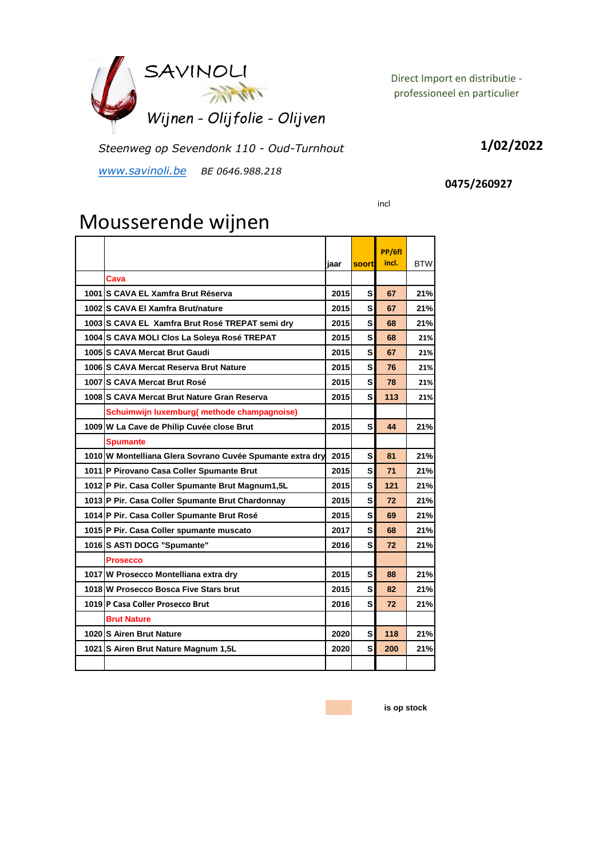

Direct Import en distributie professioneel en particulier

*Steenweg op Sevendonk 110 - Oud-Turnhout*

*www.savinoli.be BE 0646.988.218*

## **1/02/2022**

## **0475/260927**

incl

## Mousserende wijnen

|                                                           |      |              | PP/6fl |            |
|-----------------------------------------------------------|------|--------------|--------|------------|
|                                                           | jaar | <b>soort</b> | incl.  | <b>BTW</b> |
| Cava                                                      |      |              |        |            |
| 1001 S CAVA EL Xamfra Brut Réserva                        | 2015 | s            | 67     | 21%        |
| 1002 S CAVA El Xamfra Brut/nature                         | 2015 | s            | 67     | 21%        |
| 1003 S CAVA EL Xamfra Brut Rosé TREPAT semi dry           | 2015 | s            | 68     | 21%        |
| 1004 S CAVA MOLI Clos La Soleya Rosé TREPAT               | 2015 | s            | 68     | 21%        |
| 1005 S CAVA Mercat Brut Gaudi                             | 2015 | S            | 67     | 21%        |
| 1006 S CAVA Mercat Reserva Brut Nature                    | 2015 | s            | 76     | 21%        |
| 1007 IS CAVA Mercat Brut Rosé                             | 2015 | S            | 78     | 21%        |
| 1008 S CAVA Mercat Brut Nature Gran Reserva               | 2015 | S            | 113    | 21%        |
| Schuimwijn luxemburg(methode champagnoise)                |      |              |        |            |
| 1009 W La Cave de Philip Cuvée close Brut                 | 2015 | S            | 44     | 21%        |
| <b>Spumante</b>                                           |      |              |        |            |
| 1010 W Montelliana Glera Sovrano Cuvée Spumante extra dry | 2015 | S            | 81     | 21%        |
| 1011 P Pirovano Casa Coller Spumante Brut                 | 2015 | s            | 71     | 21%        |
| 1012 P Pir. Casa Coller Spumante Brut Magnum1,5L          | 2015 | s            | 121    | 21%        |
| 1013 P Pir. Casa Coller Spumante Brut Chardonnay          | 2015 | s            | 72     | 21%        |
| 1014 P Pir. Casa Coller Spumante Brut Rosé                | 2015 | S            | 69     | 21%        |
| 1015 P Pir. Casa Coller spumante muscato                  | 2017 | s            | 68     | 21%        |
| 1016 S ASTI DOCG "Spumante"                               | 2016 | S            | 72     | 21%        |
| <b>Prosecco</b>                                           |      |              |        |            |
| 1017 W Prosecco Montelliana extra dry                     | 2015 | S            | 88     | 21%        |
| 1018 W Prosecco Bosca Five Stars brut                     | 2015 | S            | 82     | 21%        |
| 1019 P Casa Coller Prosecco Brut                          | 2016 | s            | 72     | 21%        |
| <b>Brut Nature</b>                                        |      |              |        |            |
| 1020 S Airen Brut Nature                                  | 2020 | s            | 118    | 21%        |
| 1021 S Airen Brut Nature Magnum 1,5L                      | 2020 | s            | 200    | 21%        |
|                                                           |      |              |        |            |

**is op stock**